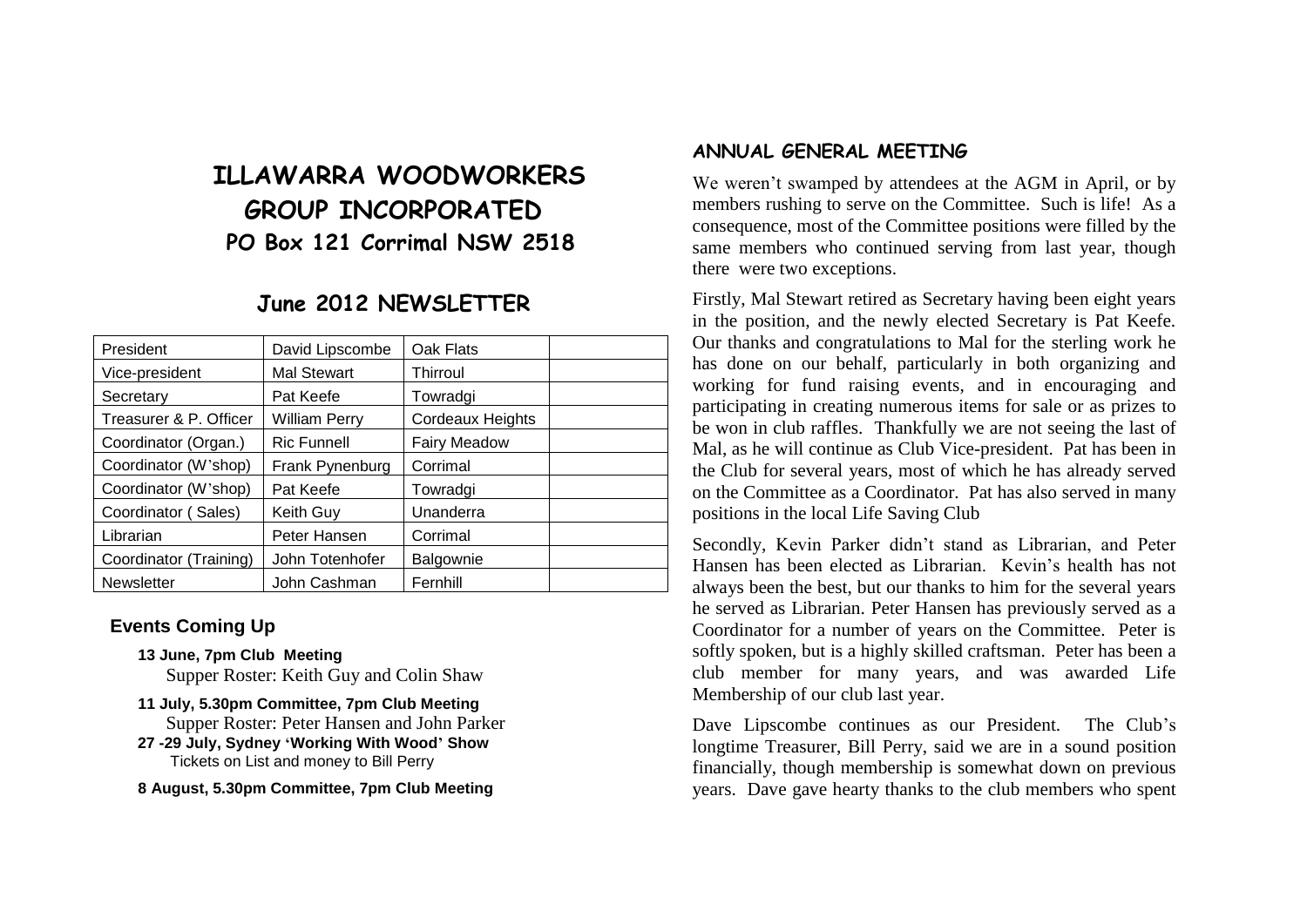# **ILLAWARRA WOODWORKERS GROUP INCORPORATED PO Box 121 Corrimal NSW 2518**

## **June 2012 NEWSLETTER**

| President              | David Lipscombe      | Oak Flats           |  |
|------------------------|----------------------|---------------------|--|
| Vice-president         | <b>Mal Stewart</b>   | Thirroul            |  |
| Secretary              | Pat Keefe            | Towradgi            |  |
| Treasurer & P. Officer | <b>William Perry</b> | Cordeaux Heights    |  |
| Coordinator (Organ.)   | <b>Ric Funnell</b>   | <b>Fairy Meadow</b> |  |
| Coordinator (W'shop)   | Frank Pynenburg      | Corrimal            |  |
| Coordinator (W'shop)   | Pat Keefe            | Towradgi            |  |
| Coordinator (Sales)    | Keith Guy            | Unanderra           |  |
| Librarian              | Peter Hansen         | Corrimal            |  |
| Coordinator (Training) | John Totenhofer      | Balgownie           |  |
| <b>Newsletter</b>      | John Cashman         | Fernhill            |  |

#### **Events Coming Up**

- **13 June, 7pm Club Meeting** Supper Roster: Keith Guy and Colin Shaw
- **11 July, 5.30pm Committee, 7pm Club Meeting** Supper Roster: Peter Hansen and John Parker
- **27 -29 July, Sydney 'Working With Wood' Show** Tickets on List and money to Bill Perry

**8 August, 5.30pm Committee, 7pm Club Meeting**

#### **ANNUAL GENERAL MEETING**

We weren't swamped by attendees at the AGM in April, or by members rushing to serve on the Committee. Such is life! As a consequence, most of the Committee positions were filled by the same members who continued serving from last year, though there were two exceptions.

Firstly, Mal Stewart retired as Secretary having been eight years in the position, and the newly elected Secretary is Pat Keefe. Our thanks and congratulations to Mal for the sterling work he has done on our behalf, particularly in both organizing and working for fund raising events, and in encouraging and participating in creating numerous items for sale or as prizes to be won in club raffles. Thankfully we are not seeing the last of Mal, as he will continue as Club Vice-president. Pat has been in the Club for several years, most of which he has already served on the Committee as a Coordinator. Pat has also served in many positions in the local Life Saving Club

Secondly, Kevin Parker didn't stand as Librarian, and Peter Hansen has been elected as Librarian. Kevin's health has not always been the best, but our thanks to him for the several years he served as Librarian. Peter Hansen has previously served as a Coordinator for a number of years on the Committee. Peter is softly spoken, but is a highly skilled craftsman. Peter has been a club member for many years, and was awarded Life Membership of our club last year.

Dave Lipscombe continues as our President. The Club's longtime Treasurer, Bill Perry, said we are in a sound position financially, though membership is somewhat down on previous years. Dave gave hearty thanks to the club members who spent